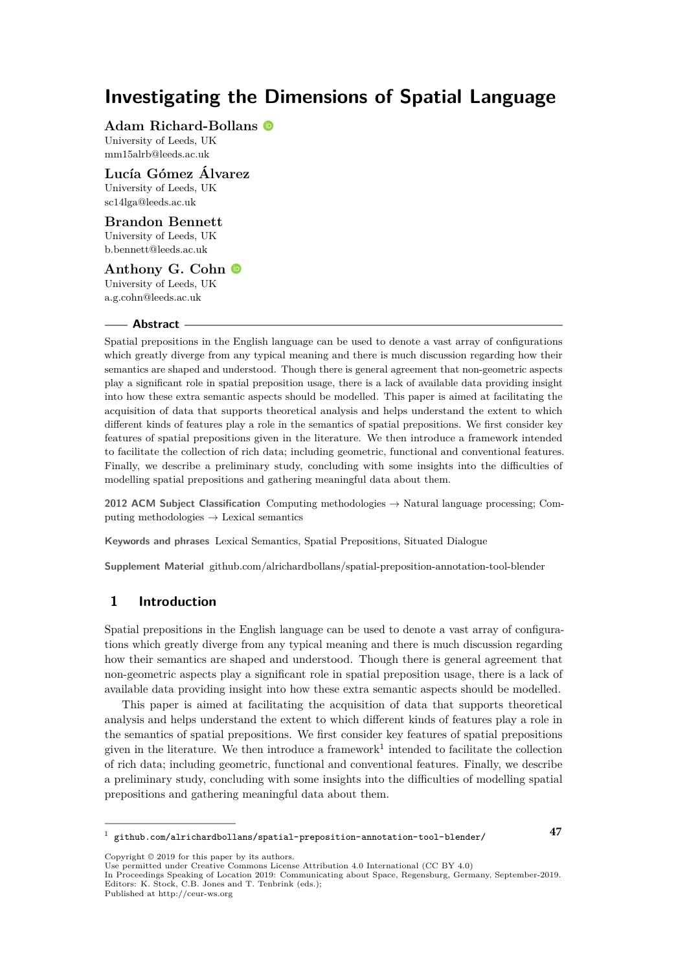**Adam Richard-Bollans**

University of Leeds, UK [mm15alrb@leeds.ac.uk](mailto:mm15alrb@leeds.ac.uk)

**Lucía Gómez Álvarez** University of Leeds, UK

[sc14lga@leeds.ac.uk](mailto:sc14lga@leeds.ac.uk) **Brandon Bennett**

University of Leeds, UK

[b.bennett@leeds.ac.uk](mailto:b.bennett@leeds.ac.uk)

**Anthony G. Cohn** University of Leeds, UK [a.g.cohn@leeds.ac.uk](mailto:a.g.cohn@leeds.ac.uk)

#### **Abstract**

Spatial prepositions in the English language can be used to denote a vast array of configurations which greatly diverge from any typical meaning and there is much discussion regarding how their semantics are shaped and understood. Though there is general agreement that non-geometric aspects play a significant role in spatial preposition usage, there is a lack of available data providing insight into how these extra semantic aspects should be modelled. This paper is aimed at facilitating the acquisition of data that supports theoretical analysis and helps understand the extent to which different kinds of features play a role in the semantics of spatial prepositions. We first consider key features of spatial prepositions given in the literature. We then introduce a framework intended to facilitate the collection of rich data; including geometric, functional and conventional features. Finally, we describe a preliminary study, concluding with some insights into the difficulties of modelling spatial prepositions and gathering meaningful data about them.

**2012 ACM Subject Classification** Computing methodologies → Natural language processing; Computing methodologies  $\rightarrow$  Lexical semantics

**Keywords and phrases** Lexical Semantics, Spatial Prepositions, Situated Dialogue

**Supplement Material** github.com/alrichardbollans/spatial-preposition-annotation-tool-blender

# **1 Introduction**

Spatial prepositions in the English language can be used to denote a vast array of configurations which greatly diverge from any typical meaning and there is much discussion regarding how their semantics are shaped and understood. Though there is general agreement that non-geometric aspects play a significant role in spatial preposition usage, there is a lack of available data providing insight into how these extra semantic aspects should be modelled.

This paper is aimed at facilitating the acquisition of data that supports theoretical analysis and helps understand the extent to which different kinds of features play a role in the semantics of spatial prepositions. We first consider key features of spatial prepositions given in the literature. We then introduce a framework<sup>[1](#page-0-0)</sup> intended to facilitate the collection of rich data; including geometric, functional and conventional features. Finally, we describe a preliminary study, concluding with some insights into the difficulties of modelling spatial prepositions and gathering meaningful data about them.

**47**

Published at http://ceur-ws.org

<span id="page-0-0"></span><sup>1</sup> <github.com/alrichardbollans/spatial-preposition-annotation-tool-blender/>

Convright © 2019 for this paper by its authors.

Use permitted under Creative Commons License Attribution 4.0 International (CC BY 4.0)

In Proceedings Speaking of Location 2019: Communicating about Space, Regensburg, Germany, September-2019. Editors: K. Stock, C.B. Jones and T. Tenbrink (eds.);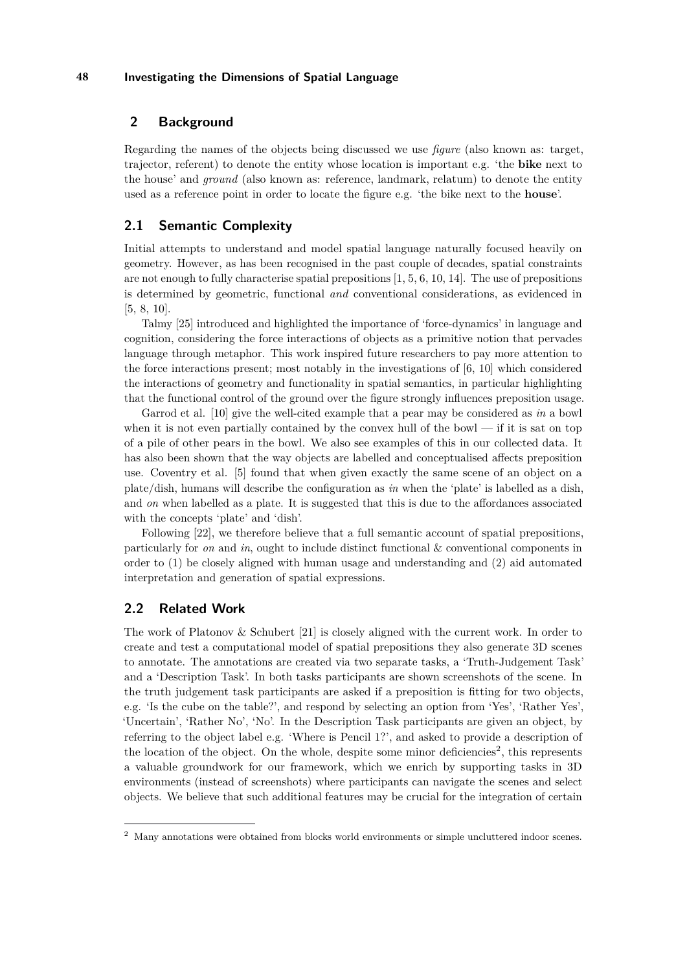# **2 Background**

Regarding the names of the objects being discussed we use *figure* (also known as: target, trajector, referent) to denote the entity whose location is important e.g. 'the **bike** next to the house' and *ground* (also known as: reference, landmark, relatum) to denote the entity used as a reference point in order to locate the figure e.g. 'the bike next to the **house**'.

## **2.1 Semantic Complexity**

Initial attempts to understand and model spatial language naturally focused heavily on geometry. However, as has been recognised in the past couple of decades, spatial constraints are not enough to fully characterise spatial prepositions [\[1,](#page-8-0) [5,](#page-8-1) [6,](#page-8-2) [10,](#page-8-3) [14\]](#page-9-0). The use of prepositions is determined by geometric, functional *and* conventional considerations, as evidenced in [\[5,](#page-8-1) [8,](#page-8-4) [10\]](#page-8-3).

Talmy [\[25\]](#page-9-1) introduced and highlighted the importance of 'force-dynamics' in language and cognition, considering the force interactions of objects as a primitive notion that pervades language through metaphor. This work inspired future researchers to pay more attention to the force interactions present; most notably in the investigations of [\[6,](#page-8-2) [10\]](#page-8-3) which considered the interactions of geometry and functionality in spatial semantics, in particular highlighting that the functional control of the ground over the figure strongly influences preposition usage.

Garrod et al. [\[10\]](#page-8-3) give the well-cited example that a pear may be considered as *in* a bowl when it is not even partially contained by the convex hull of the bowl  $-$  if it is sat on top of a pile of other pears in the bowl. We also see examples of this in our collected data. It has also been shown that the way objects are labelled and conceptualised affects preposition use. Coventry et al. [\[5\]](#page-8-1) found that when given exactly the same scene of an object on a plate/dish, humans will describe the configuration as *in* when the 'plate' is labelled as a dish, and *on* when labelled as a plate. It is suggested that this is due to the affordances associated with the concepts 'plate' and 'dish'.

Following [\[22\]](#page-9-2), we therefore believe that a full semantic account of spatial prepositions, particularly for *on* and *in*, ought to include distinct functional & conventional components in order to (1) be closely aligned with human usage and understanding and (2) aid automated interpretation and generation of spatial expressions.

#### **2.2 Related Work**

The work of Platonov & Schubert [\[21\]](#page-9-3) is closely aligned with the current work. In order to create and test a computational model of spatial prepositions they also generate 3D scenes to annotate. The annotations are created via two separate tasks, a 'Truth-Judgement Task' and a 'Description Task'. In both tasks participants are shown screenshots of the scene. In the truth judgement task participants are asked if a preposition is fitting for two objects, e.g. 'Is the cube on the table?', and respond by selecting an option from 'Yes', 'Rather Yes', 'Uncertain', 'Rather No', 'No'. In the Description Task participants are given an object, by referring to the object label e.g. 'Where is Pencil 1?', and asked to provide a description of the location of the object. On the whole, despite some minor deficiencies<sup>[2](#page-1-0)</sup>, this represents a valuable groundwork for our framework, which we enrich by supporting tasks in 3D environments (instead of screenshots) where participants can navigate the scenes and select objects. We believe that such additional features may be crucial for the integration of certain

<span id="page-1-0"></span><sup>2</sup> Many annotations were obtained from blocks world environments or simple uncluttered indoor scenes.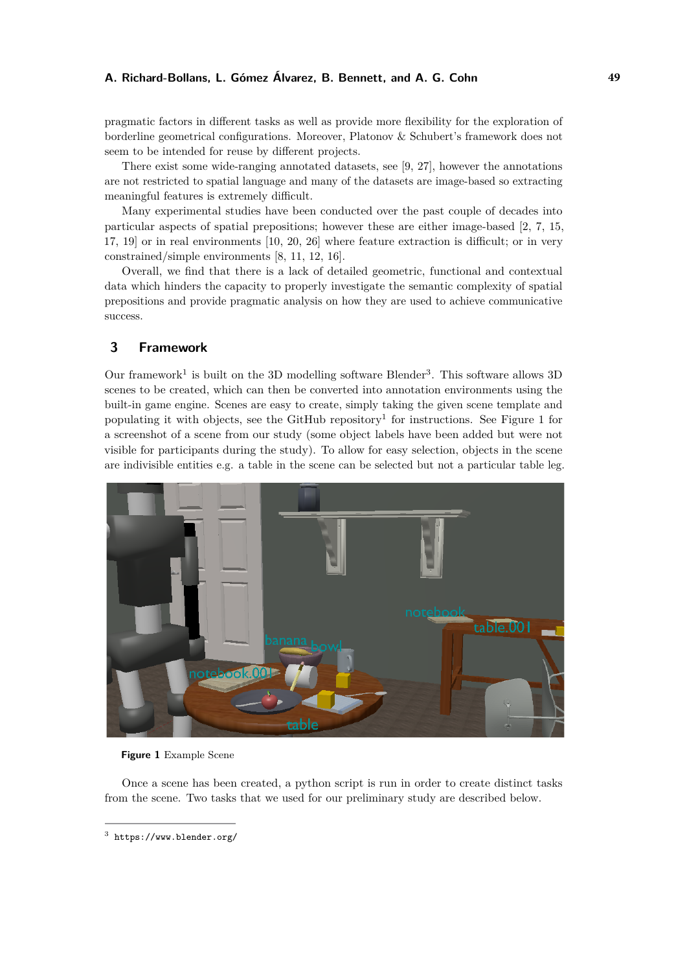#### **A. Richard-Bollans, L. Gómez Álvarez, B. Bennett, and A. G. Cohn 49**

pragmatic factors in different tasks as well as provide more flexibility for the exploration of borderline geometrical configurations. Moreover, Platonov & Schubert's framework does not seem to be intended for reuse by different projects.

There exist some wide-ranging annotated datasets, see [\[9,](#page-8-5) [27\]](#page-9-4), however the annotations are not restricted to spatial language and many of the datasets are image-based so extracting meaningful features is extremely difficult.

Many experimental studies have been conducted over the past couple of decades into particular aspects of spatial prepositions; however these are either image-based [\[2,](#page-8-6) [7,](#page-8-7) [15,](#page-9-5) [17,](#page-9-6) [19\]](#page-9-7) or in real environments [\[10,](#page-8-3) [20,](#page-9-8) [26\]](#page-9-9) where feature extraction is difficult; or in very constrained/simple environments [\[8,](#page-8-4) [11,](#page-8-8) [12,](#page-9-10) [16\]](#page-9-11).

Overall, we find that there is a lack of detailed geometric, functional and contextual data which hinders the capacity to properly investigate the semantic complexity of spatial prepositions and provide pragmatic analysis on how they are used to achieve communicative success.

# **3 Framework**

Our framework<sup>1</sup> is built on the [3](#page-2-0)D modelling software Blender<sup>3</sup>. This software allows 3D scenes to be created, which can then be converted into annotation environments using the built-in game engine. Scenes are easy to create, simply taking the given scene template and populating it with objects, see the GitHub repository<sup>1</sup> for instructions. See Figure [1](#page-2-1) for a screenshot of a scene from our study (some object labels have been added but were not visible for participants during the study). To allow for easy selection, objects in the scene are indivisible entities e.g. a table in the scene can be selected but not a particular table leg.

<span id="page-2-1"></span>

**Figure 1** Example Scene

Once a scene has been created, a python script is run in order to create distinct tasks from the scene. Two tasks that we used for our preliminary study are described below.

<span id="page-2-0"></span><sup>3</sup> <https://www.blender.org/>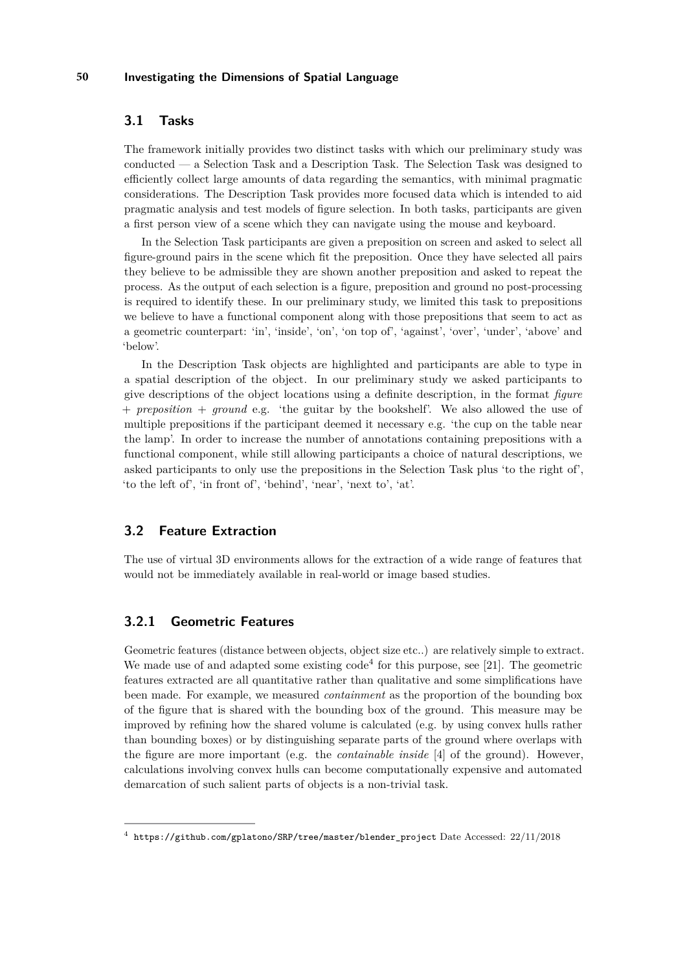## **3.1 Tasks**

The framework initially provides two distinct tasks with which our preliminary study was conducted — a Selection Task and a Description Task. The Selection Task was designed to efficiently collect large amounts of data regarding the semantics, with minimal pragmatic considerations. The Description Task provides more focused data which is intended to aid pragmatic analysis and test models of figure selection. In both tasks, participants are given a first person view of a scene which they can navigate using the mouse and keyboard.

In the Selection Task participants are given a preposition on screen and asked to select all figure-ground pairs in the scene which fit the preposition. Once they have selected all pairs they believe to be admissible they are shown another preposition and asked to repeat the process. As the output of each selection is a figure, preposition and ground no post-processing is required to identify these. In our preliminary study, we limited this task to prepositions we believe to have a functional component along with those prepositions that seem to act as a geometric counterpart: 'in', 'inside', 'on', 'on top of', 'against', 'over', 'under', 'above' and 'below'.

In the Description Task objects are highlighted and participants are able to type in a spatial description of the object. In our preliminary study we asked participants to give descriptions of the object locations using a definite description, in the format *figure* + *preposition* + *ground* e.g. 'the guitar by the bookshelf'. We also allowed the use of multiple prepositions if the participant deemed it necessary e.g. 'the cup on the table near the lamp'. In order to increase the number of annotations containing prepositions with a functional component, while still allowing participants a choice of natural descriptions, we asked participants to only use the prepositions in the Selection Task plus 'to the right of', 'to the left of', 'in front of', 'behind', 'near', 'next to', 'at'.

#### **3.2 Feature Extraction**

The use of virtual 3D environments allows for the extraction of a wide range of features that would not be immediately available in real-world or image based studies.

### **3.2.1 Geometric Features**

Geometric features (distance between objects, object size etc..) are relatively simple to extract. We made use of and adapted some existing  $\text{code}^4$  $\text{code}^4$  for this purpose, see [\[21\]](#page-9-3). The geometric features extracted are all quantitative rather than qualitative and some simplifications have been made. For example, we measured *containment* as the proportion of the bounding box of the figure that is shared with the bounding box of the ground. This measure may be improved by refining how the shared volume is calculated (e.g. by using convex hulls rather than bounding boxes) or by distinguishing separate parts of the ground where overlaps with the figure are more important (e.g. the *containable inside* [\[4\]](#page-8-9) of the ground). However, calculations involving convex hulls can become computationally expensive and automated demarcation of such salient parts of objects is a non-trivial task.

<span id="page-3-0"></span> $^4$  [https://github.com/gplatono/SRP/tree/master/blender\\_project](https://github.com/gplatono/SRP/tree/master/blender_project) Date Accessed:  $22/11/2018$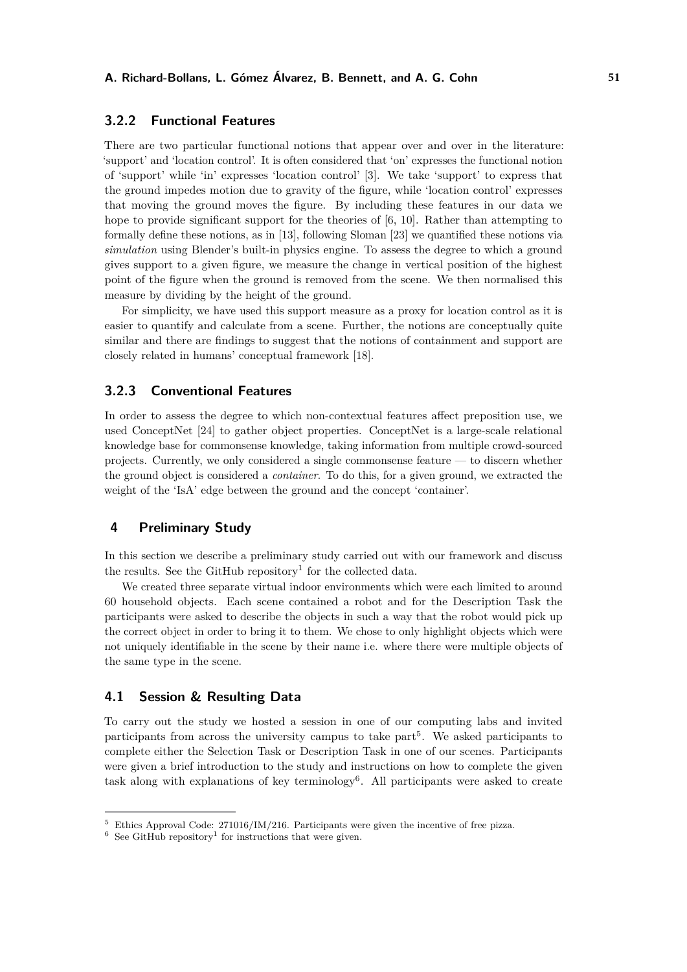### **3.2.2 Functional Features**

There are two particular functional notions that appear over and over in the literature: 'support' and 'location control'. It is often considered that 'on' expresses the functional notion of 'support' while 'in' expresses 'location control' [\[3\]](#page-8-10). We take 'support' to express that the ground impedes motion due to gravity of the figure, while 'location control' expresses that moving the ground moves the figure. By including these features in our data we hope to provide significant support for the theories of [\[6,](#page-8-2) [10\]](#page-8-3). Rather than attempting to formally define these notions, as in [\[13\]](#page-9-12), following Sloman [\[23\]](#page-9-13) we quantified these notions via *simulation* using Blender's built-in physics engine. To assess the degree to which a ground gives support to a given figure, we measure the change in vertical position of the highest point of the figure when the ground is removed from the scene. We then normalised this measure by dividing by the height of the ground.

For simplicity, we have used this support measure as a proxy for location control as it is easier to quantify and calculate from a scene. Further, the notions are conceptually quite similar and there are findings to suggest that the notions of containment and support are closely related in humans' conceptual framework [\[18\]](#page-9-14).

#### **3.2.3 Conventional Features**

In order to assess the degree to which non-contextual features affect preposition use, we used ConceptNet [\[24\]](#page-9-15) to gather object properties. ConceptNet is a large-scale relational knowledge base for commonsense knowledge, taking information from multiple crowd-sourced projects. Currently, we only considered a single commonsense feature — to discern whether the ground object is considered a *container*. To do this, for a given ground, we extracted the weight of the 'IsA' edge between the ground and the concept 'container'.

# **4 Preliminary Study**

In this section we describe a preliminary study carried out with our framework and discuss the results. See the GitHub repository<sup>1</sup> for the collected data.

We created three separate virtual indoor environments which were each limited to around 60 household objects. Each scene contained a robot and for the Description Task the participants were asked to describe the objects in such a way that the robot would pick up the correct object in order to bring it to them. We chose to only highlight objects which were not uniquely identifiable in the scene by their name i.e. where there were multiple objects of the same type in the scene.

#### **4.1 Session & Resulting Data**

To carry out the study we hosted a session in one of our computing labs and invited participants from across the university campus to take part<sup>[5](#page-4-0)</sup>. We asked participants to complete either the Selection Task or Description Task in one of our scenes. Participants were given a brief introduction to the study and instructions on how to complete the given task along with explanations of key terminology<sup>[6](#page-4-1)</sup>. All participants were asked to create

<span id="page-4-0"></span><sup>&</sup>lt;sup>5</sup> Ethics Approval Code: 271016/IM/216. Participants were given the incentive of free pizza.

<span id="page-4-1"></span> $6$  See GitHub repository<sup>1</sup> for instructions that were given.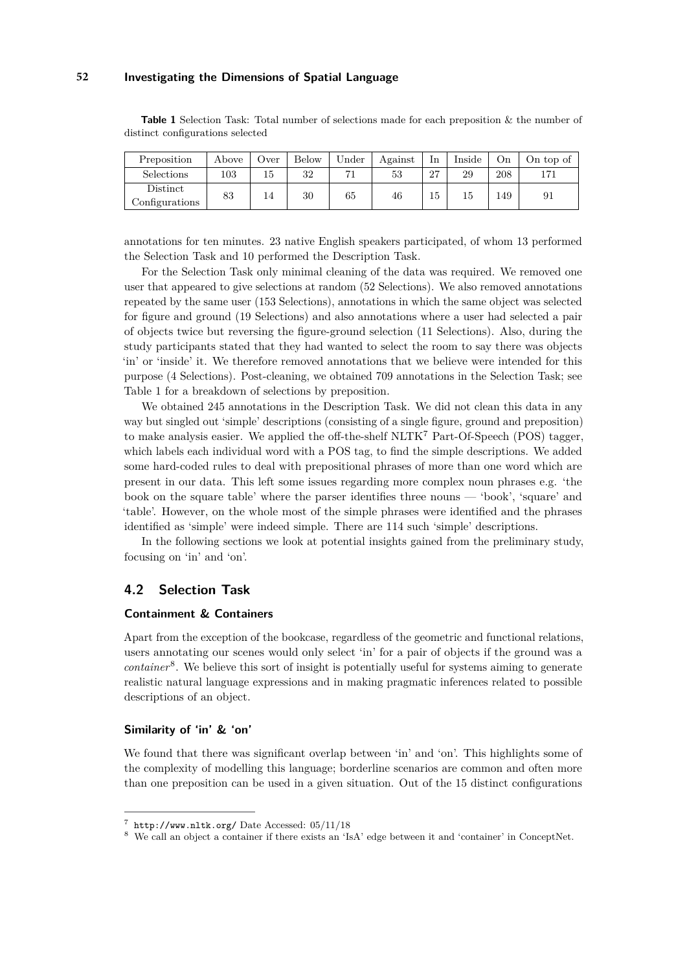<span id="page-5-0"></span>**Table 1** Selection Task: Total number of selections made for each preposition & the number of distinct configurations selected

| Preposition                | Above | Over | <b>Below</b> | Under | Against | In  | Inside | Оn  | On top of |
|----------------------------|-------|------|--------------|-------|---------|-----|--------|-----|-----------|
| Selections                 | 103   | Tр   | 32           |       | 53      | 27  | 29     | 208 | 171       |
| Distinct<br>Configurations | 83    | 14   | 30           | 65    | 46      | G1. |        | 149 | 91        |

annotations for ten minutes. 23 native English speakers participated, of whom 13 performed the Selection Task and 10 performed the Description Task.

For the Selection Task only minimal cleaning of the data was required. We removed one user that appeared to give selections at random (52 Selections). We also removed annotations repeated by the same user (153 Selections), annotations in which the same object was selected for figure and ground (19 Selections) and also annotations where a user had selected a pair of objects twice but reversing the figure-ground selection (11 Selections). Also, during the study participants stated that they had wanted to select the room to say there was objects 'in' or 'inside' it. We therefore removed annotations that we believe were intended for this purpose (4 Selections). Post-cleaning, we obtained 709 annotations in the Selection Task; see Table [1](#page-5-0) for a breakdown of selections by preposition.

We obtained 245 annotations in the Description Task. We did not clean this data in any way but singled out 'simple' descriptions (consisting of a single figure, ground and preposition) to make analysis easier. We applied the off-the-shelf NLTK[7](#page-5-1) Part-Of-Speech (POS) tagger, which labels each individual word with a POS tag, to find the simple descriptions. We added some hard-coded rules to deal with prepositional phrases of more than one word which are present in our data. This left some issues regarding more complex noun phrases e.g. 'the book on the square table' where the parser identifies three nouns — 'book', 'square' and 'table'. However, on the whole most of the simple phrases were identified and the phrases identified as 'simple' were indeed simple. There are 114 such 'simple' descriptions.

In the following sections we look at potential insights gained from the preliminary study, focusing on 'in' and 'on'.

## **4.2 Selection Task**

#### **Containment & Containers**

Apart from the exception of the bookcase, regardless of the geometric and functional relations, users annotating our scenes would only select 'in' for a pair of objects if the ground was a *container*[8](#page-5-2) . We believe this sort of insight is potentially useful for systems aiming to generate realistic natural language expressions and in making pragmatic inferences related to possible descriptions of an object.

#### **Similarity of 'in' & 'on'**

We found that there was significant overlap between 'in' and 'on'. This highlights some of the complexity of modelling this language; borderline scenarios are common and often more than one preposition can be used in a given situation. Out of the 15 distinct configurations

<span id="page-5-1"></span><sup>7</sup> <http://www.nltk.org/> Date Accessed: 05/11/18

<span id="page-5-2"></span><sup>8</sup> We call an object a container if there exists an 'IsA' edge between it and 'container' in ConceptNet.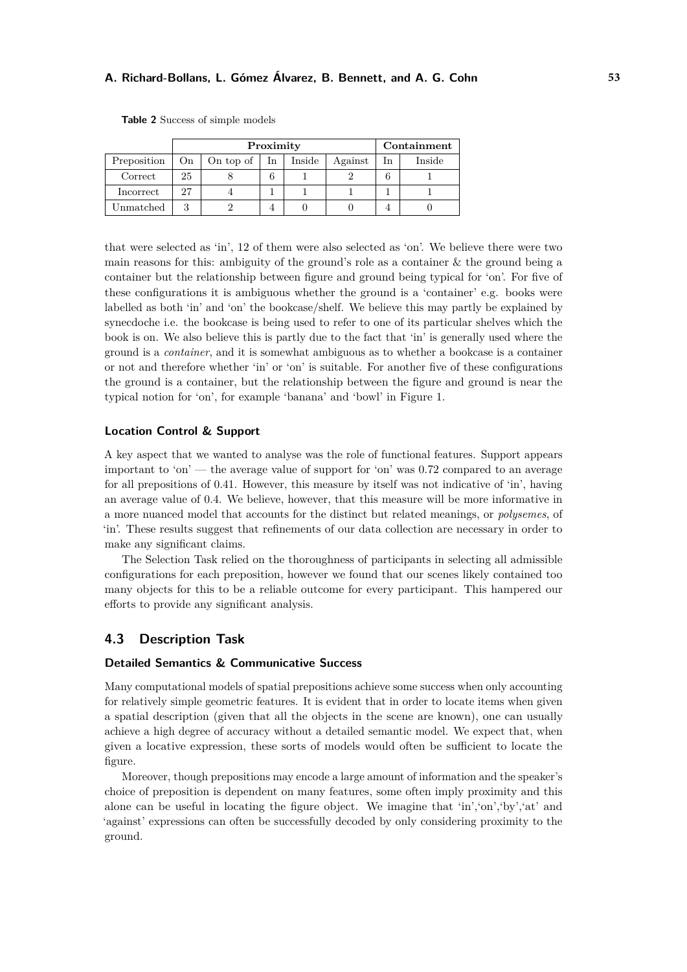#### **A. Richard-Bollans, L. Gómez Álvarez, B. Bennett, and A. G. Cohn 53**

|             |     | Proximity | Containment |        |         |    |        |
|-------------|-----|-----------|-------------|--------|---------|----|--------|
| Preposition | On. | On top of | In          | Inside | Against | In | Inside |
| Correct     | 25  |           | 6           |        |         | 6  |        |
| Incorrect   | 27  |           |             |        |         |    |        |
| Unmatched   | २   |           |             |        |         |    |        |

<span id="page-6-0"></span>**Table 2** Success of simple models

that were selected as 'in', 12 of them were also selected as 'on'. We believe there were two main reasons for this: ambiguity of the ground's role as a container  $\&$  the ground being a container but the relationship between figure and ground being typical for 'on'. For five of these configurations it is ambiguous whether the ground is a 'container' e.g. books were labelled as both 'in' and 'on' the bookcase/shelf. We believe this may partly be explained by synecdoche i.e. the bookcase is being used to refer to one of its particular shelves which the book is on. We also believe this is partly due to the fact that 'in' is generally used where the ground is a *container*, and it is somewhat ambiguous as to whether a bookcase is a container or not and therefore whether 'in' or 'on' is suitable. For another five of these configurations the ground is a container, but the relationship between the figure and ground is near the typical notion for 'on', for example 'banana' and 'bowl' in Figure [1.](#page-2-1)

#### **Location Control & Support**

A key aspect that we wanted to analyse was the role of functional features. Support appears important to 'on' — the average value of support for 'on' was 0.72 compared to an average for all prepositions of 0.41. However, this measure by itself was not indicative of 'in', having an average value of 0.4. We believe, however, that this measure will be more informative in a more nuanced model that accounts for the distinct but related meanings, or *polysemes*, of 'in'. These results suggest that refinements of our data collection are necessary in order to make any significant claims.

The Selection Task relied on the thoroughness of participants in selecting all admissible configurations for each preposition, however we found that our scenes likely contained too many objects for this to be a reliable outcome for every participant. This hampered our efforts to provide any significant analysis.

## **4.3 Description Task**

#### **Detailed Semantics & Communicative Success**

Many computational models of spatial prepositions achieve some success when only accounting for relatively simple geometric features. It is evident that in order to locate items when given a spatial description (given that all the objects in the scene are known), one can usually achieve a high degree of accuracy without a detailed semantic model. We expect that, when given a locative expression, these sorts of models would often be sufficient to locate the figure.

Moreover, though prepositions may encode a large amount of information and the speaker's choice of preposition is dependent on many features, some often imply proximity and this alone can be useful in locating the figure object. We imagine that 'in','on','by','at' and 'against' expressions can often be successfully decoded by only considering proximity to the ground.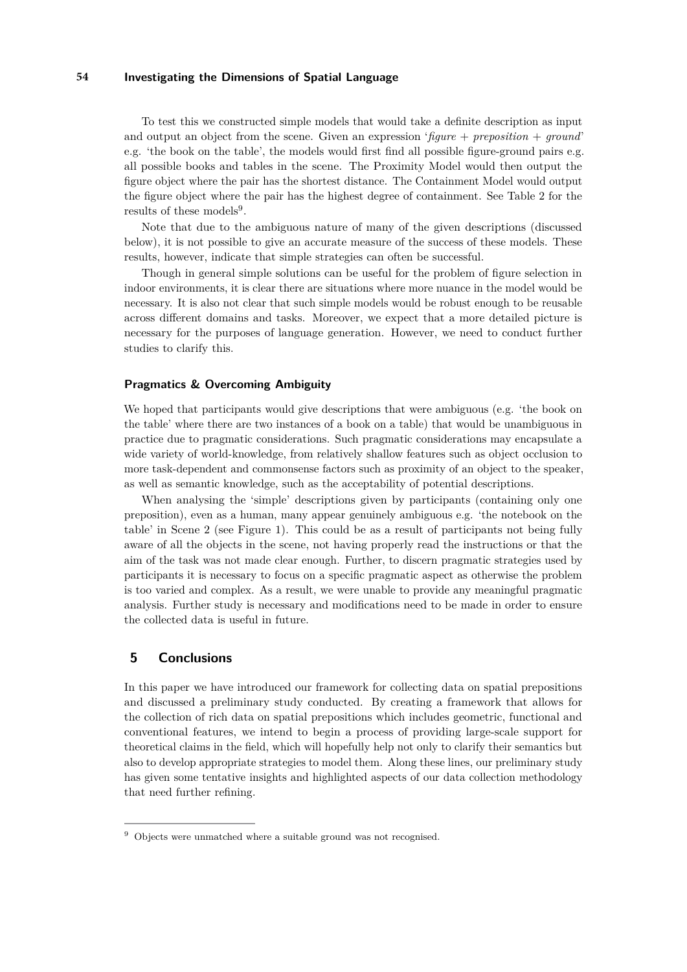To test this we constructed simple models that would take a definite description as input and output an object from the scene. Given an expression '*figure* + *preposition* + *ground*' e.g. 'the book on the table', the models would first find all possible figure-ground pairs e.g. all possible books and tables in the scene. The Proximity Model would then output the figure object where the pair has the shortest distance. The Containment Model would output the figure object where the pair has the highest degree of containment. See Table [2](#page-6-0) for the results of these models<sup>[9](#page-7-0)</sup>.

Note that due to the ambiguous nature of many of the given descriptions (discussed below), it is not possible to give an accurate measure of the success of these models. These results, however, indicate that simple strategies can often be successful.

Though in general simple solutions can be useful for the problem of figure selection in indoor environments, it is clear there are situations where more nuance in the model would be necessary. It is also not clear that such simple models would be robust enough to be reusable across different domains and tasks. Moreover, we expect that a more detailed picture is necessary for the purposes of language generation. However, we need to conduct further studies to clarify this.

#### **Pragmatics & Overcoming Ambiguity**

We hoped that participants would give descriptions that were ambiguous (e.g. 'the book on the table' where there are two instances of a book on a table) that would be unambiguous in practice due to pragmatic considerations. Such pragmatic considerations may encapsulate a wide variety of world-knowledge, from relatively shallow features such as object occlusion to more task-dependent and commonsense factors such as proximity of an object to the speaker, as well as semantic knowledge, such as the acceptability of potential descriptions.

When analysing the 'simple' descriptions given by participants (containing only one preposition), even as a human, many appear genuinely ambiguous e.g. 'the notebook on the table' in Scene 2 (see Figure [1\)](#page-2-1). This could be as a result of participants not being fully aware of all the objects in the scene, not having properly read the instructions or that the aim of the task was not made clear enough. Further, to discern pragmatic strategies used by participants it is necessary to focus on a specific pragmatic aspect as otherwise the problem is too varied and complex. As a result, we were unable to provide any meaningful pragmatic analysis. Further study is necessary and modifications need to be made in order to ensure the collected data is useful in future.

## **5 Conclusions**

In this paper we have introduced our framework for collecting data on spatial prepositions and discussed a preliminary study conducted. By creating a framework that allows for the collection of rich data on spatial prepositions which includes geometric, functional and conventional features, we intend to begin a process of providing large-scale support for theoretical claims in the field, which will hopefully help not only to clarify their semantics but also to develop appropriate strategies to model them. Along these lines, our preliminary study has given some tentative insights and highlighted aspects of our data collection methodology that need further refining.

<span id="page-7-0"></span><sup>&</sup>lt;sup>9</sup> Objects were unmatched where a suitable ground was not recognised.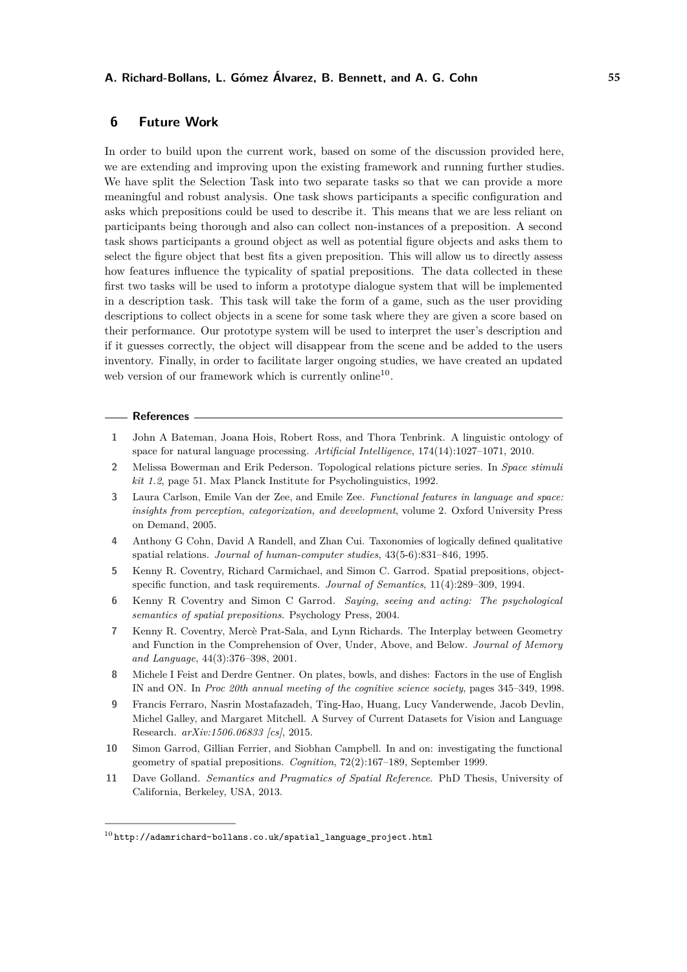#### **A. Richard-Bollans, L. Gómez Álvarez, B. Bennett, and A. G. Cohn 55**

## **6 Future Work**

In order to build upon the current work, based on some of the discussion provided here, we are extending and improving upon the existing framework and running further studies. We have split the Selection Task into two separate tasks so that we can provide a more meaningful and robust analysis. One task shows participants a specific configuration and asks which prepositions could be used to describe it. This means that we are less reliant on participants being thorough and also can collect non-instances of a preposition. A second task shows participants a ground object as well as potential figure objects and asks them to select the figure object that best fits a given preposition. This will allow us to directly assess how features influence the typicality of spatial prepositions. The data collected in these first two tasks will be used to inform a prototype dialogue system that will be implemented in a description task. This task will take the form of a game, such as the user providing descriptions to collect objects in a scene for some task where they are given a score based on their performance. Our prototype system will be used to interpret the user's description and if it guesses correctly, the object will disappear from the scene and be added to the users inventory. Finally, in order to facilitate larger ongoing studies, we have created an updated web version of our framework which is currently online<sup>[10](#page-8-11)</sup>.

#### **References**

- <span id="page-8-0"></span>**1** John A Bateman, Joana Hois, Robert Ross, and Thora Tenbrink. A linguistic ontology of space for natural language processing. *Artificial Intelligence*, 174(14):1027–1071, 2010.
- <span id="page-8-6"></span>**2** Melissa Bowerman and Erik Pederson. Topological relations picture series. In *Space stimuli kit 1.2*, page 51. Max Planck Institute for Psycholinguistics, 1992.
- <span id="page-8-10"></span>**3** Laura Carlson, Emile Van der Zee, and Emile Zee. *Functional features in language and space: insights from perception, categorization, and development*, volume 2. Oxford University Press on Demand, 2005.
- <span id="page-8-9"></span>**4** Anthony G Cohn, David A Randell, and Zhan Cui. Taxonomies of logically defined qualitative spatial relations. *Journal of human-computer studies*, 43(5-6):831–846, 1995.
- <span id="page-8-1"></span>**5** Kenny R. Coventry, Richard Carmichael, and Simon C. Garrod. Spatial prepositions, objectspecific function, and task requirements. *Journal of Semantics*, 11(4):289–309, 1994.
- <span id="page-8-2"></span>**6** Kenny R Coventry and Simon C Garrod. *Saying, seeing and acting: The psychological semantics of spatial prepositions*. Psychology Press, 2004.
- <span id="page-8-7"></span>**7** Kenny R. Coventry, Mercè Prat-Sala, and Lynn Richards. The Interplay between Geometry and Function in the Comprehension of Over, Under, Above, and Below. *Journal of Memory and Language*, 44(3):376–398, 2001.
- <span id="page-8-4"></span>**8** Michele I Feist and Derdre Gentner. On plates, bowls, and dishes: Factors in the use of English IN and ON. In *Proc 20th annual meeting of the cognitive science society*, pages 345–349, 1998.
- <span id="page-8-5"></span>**9** Francis Ferraro, Nasrin Mostafazadeh, Ting-Hao, Huang, Lucy Vanderwende, Jacob Devlin, Michel Galley, and Margaret Mitchell. A Survey of Current Datasets for Vision and Language Research. *arXiv:1506.06833 [cs]*, 2015.
- <span id="page-8-3"></span>**10** Simon Garrod, Gillian Ferrier, and Siobhan Campbell. In and on: investigating the functional geometry of spatial prepositions. *Cognition*, 72(2):167–189, September 1999.
- <span id="page-8-8"></span>**11** Dave Golland. *Semantics and Pragmatics of Spatial Reference*. PhD Thesis, University of California, Berkeley, USA, 2013.

<span id="page-8-11"></span> $^{10}$ [http://adamrichard-bollans.co.uk/spatial\\_language\\_project.html](http://adamrichard-bollans.co.uk/spatial_language_project.html)